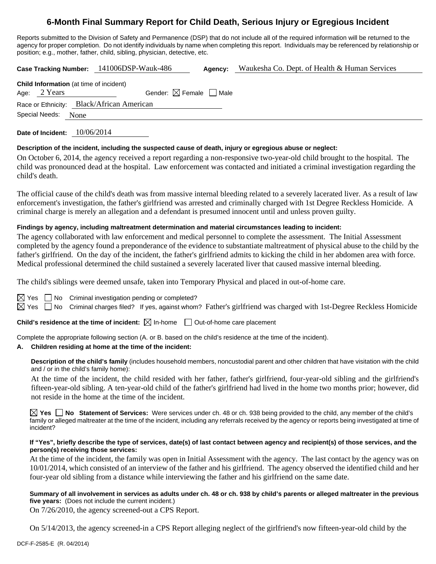# **6-Month Final Summary Report for Child Death, Serious Injury or Egregious Incident**

Reports submitted to the Division of Safety and Permanence (DSP) that do not include all of the required information will be returned to the agency for proper completion. Do not identify individuals by name when completing this report. Individuals may be referenced by relationship or position; e.g., mother, father, child, sibling, physician, detective, etc.

**Case Tracking Number:** 141006DSP-Wauk-486 **Agency:** Waukesha Co. Dept. of Health & Human Services

|                     | <b>Child Information</b> (at time of incident) |
|---------------------|------------------------------------------------|
| Age: 2 Years        | Gender: $\boxtimes$ Female $\Box$ Male         |
|                     | Race or Ethnicity: Black/African American      |
| Special Needs: None |                                                |

**Date of Incident:** 10/06/2014

### **Description of the incident, including the suspected cause of death, injury or egregious abuse or neglect:**

On October 6, 2014, the agency received a report regarding a non-responsive two-year-old child brought to the hospital. The child was pronounced dead at the hospital. Law enforcement was contacted and initiated a criminal investigation regarding the child's death.

The official cause of the child's death was from massive internal bleeding related to a severely lacerated liver. As a result of law enforcement's investigation, the father's girlfriend was arrested and criminally charged with 1st Degree Reckless Homicide. A criminal charge is merely an allegation and a defendant is presumed innocent until and unless proven guilty.

### **Findings by agency, including maltreatment determination and material circumstances leading to incident:**

The agency collaborated with law enforcement and medical personnel to complete the assessment. The Initial Assessment completed by the agency found a preponderance of the evidence to substantiate maltreatment of physical abuse to the child by the father's girlfriend. On the day of the incident, the father's girlfriend admits to kicking the child in her abdomen area with force. Medical professional determined the child sustained a severely lacerated liver that caused massive internal bleeding.

The child's siblings were deemed unsafe, taken into Temporary Physical and placed in out-of-home care.

 $\boxtimes$  Yes  $\Box$  No Criminal investigation pending or completed?

 $\boxtimes$  Yes  $\Box$  No Criminal charges filed? If yes, against whom? Father's girlfriend was charged with 1st-Degree Reckless Homicide

**Child's residence at the time of incident:**  $\boxtimes$  In-home  $\Box$  Out-of-home care placement

Complete the appropriate following section (A. or B. based on the child's residence at the time of the incident).

# **A. Children residing at home at the time of the incident:**

**Description of the child's family** (includes household members, noncustodial parent and other children that have visitation with the child and / or in the child's family home):

 At the time of the incident, the child resided with her father, father's girlfriend, four-year-old sibling and the girlfriend's fifteen-year-old sibling. A ten-year-old child of the father's girlfriend had lived in the home two months prior; however, did not reside in the home at the time of the incident.

**Yes No Statement of Services:** Were services under ch. 48 or ch. 938 being provided to the child, any member of the child's family or alleged maltreater at the time of the incident, including any referrals received by the agency or reports being investigated at time of incident?

#### **If "Yes", briefly describe the type of services, date(s) of last contact between agency and recipient(s) of those services, and the person(s) receiving those services:**

At the time of the incident, the family was open in Initial Assessment with the agency. The last contact by the agency was on 10/01/2014, which consisted of an interview of the father and his girlfriend. The agency observed the identified child and her four-year old sibling from a distance while interviewing the father and his girlfriend on the same date.

### **Summary of all involvement in services as adults under ch. 48 or ch. 938 by child's parents or alleged maltreater in the previous five years:** (Does not include the current incident.)

On 7/26/2010, the agency screened-out a CPS Report.

On 5/14/2013, the agency screened-in a CPS Report alleging neglect of the girlfriend's now fifteen-year-old child by the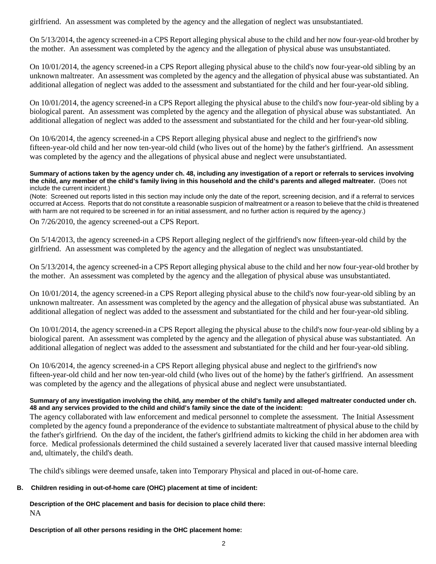girlfriend. An assessment was completed by the agency and the allegation of neglect was unsubstantiated.

On 5/13/2014, the agency screened-in a CPS Report alleging physical abuse to the child and her now four-year-old brother by the mother. An assessment was completed by the agency and the allegation of physical abuse was unsubstantiated.

On 10/01/2014, the agency screened-in a CPS Report alleging physical abuse to the child's now four-year-old sibling by an unknown maltreater. An assessment was completed by the agency and the allegation of physical abuse was substantiated. An additional allegation of neglect was added to the assessment and substantiated for the child and her four-year-old sibling.

On 10/01/2014, the agency screened-in a CPS Report alleging the physical abuse to the child's now four-year-old sibling by a biological parent. An assessment was completed by the agency and the allegation of physical abuse was substantiated. An additional allegation of neglect was added to the assessment and substantiated for the child and her four-year-old sibling.

On 10/6/2014, the agency screened-in a CPS Report alleging physical abuse and neglect to the girlfriend's now fifteen-year-old child and her now ten-year-old child (who lives out of the home) by the father's girlfriend. An assessment was completed by the agency and the allegations of physical abuse and neglect were unsubstantiated.

#### **Summary of actions taken by the agency under ch. 48, including any investigation of a report or referrals to services involving the child, any member of the child's family living in this household and the child's parents and alleged maltreater.** (Does not include the current incident.)

(Note: Screened out reports listed in this section may include only the date of the report, screening decision, and if a referral to services occurred at Access. Reports that do not constitute a reasonable suspicion of maltreatment or a reason to believe that the child is threatened with harm are not required to be screened in for an initial assessment, and no further action is required by the agency.)

On 7/26/2010, the agency screened-out a CPS Report.

On 5/14/2013, the agency screened-in a CPS Report alleging neglect of the girlfriend's now fifteen-year-old child by the girlfriend. An assessment was completed by the agency and the allegation of neglect was unsubstantiated.

On 5/13/2014, the agency screened-in a CPS Report alleging physical abuse to the child and her now four-year-old brother by the mother. An assessment was completed by the agency and the allegation of physical abuse was unsubstantiated.

On 10/01/2014, the agency screened-in a CPS Report alleging physical abuse to the child's now four-year-old sibling by an unknown maltreater. An assessment was completed by the agency and the allegation of physical abuse was substantiated. An additional allegation of neglect was added to the assessment and substantiated for the child and her four-year-old sibling.

On 10/01/2014, the agency screened-in a CPS Report alleging the physical abuse to the child's now four-year-old sibling by a biological parent. An assessment was completed by the agency and the allegation of physical abuse was substantiated. An additional allegation of neglect was added to the assessment and substantiated for the child and her four-year-old sibling.

On 10/6/2014, the agency screened-in a CPS Report alleging physical abuse and neglect to the girlfriend's now fifteen-year-old child and her now ten-year-old child (who lives out of the home) by the father's girlfriend. An assessment was completed by the agency and the allegations of physical abuse and neglect were unsubstantiated.

#### **Summary of any investigation involving the child, any member of the child's family and alleged maltreater conducted under ch. 48 and any services provided to the child and child's family since the date of the incident:**

The agency collaborated with law enforcement and medical personnel to complete the assessment. The Initial Assessment completed by the agency found a preponderance of the evidence to substantiate maltreatment of physical abuse to the child by the father's girlfriend. On the day of the incident, the father's girlfriend admits to kicking the child in her abdomen area with force. Medical professionals determined the child sustained a severely lacerated liver that caused massive internal bleeding and, ultimately, the child's death.

The child's siblings were deemed unsafe, taken into Temporary Physical and placed in out-of-home care.

# **B. Children residing in out-of-home care (OHC) placement at time of incident:**

**Description of the OHC placement and basis for decision to place child there:**  NA

**Description of all other persons residing in the OHC placement home:**